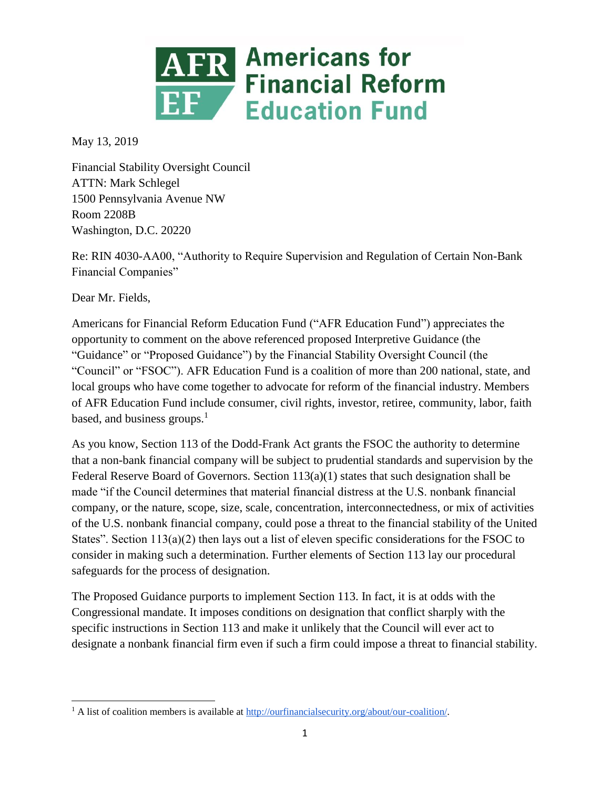

May 13, 2019

Financial Stability Oversight Council ATTN: Mark Schlegel 1500 Pennsylvania Avenue NW Room 2208B Washington, D.C. 20220

Re: RIN 4030-AA00, "Authority to Require Supervision and Regulation of Certain Non-Bank Financial Companies"

Dear Mr. Fields,

Americans for Financial Reform Education Fund ("AFR Education Fund") appreciates the opportunity to comment on the above referenced proposed Interpretive Guidance (the "Guidance" or "Proposed Guidance") by the Financial Stability Oversight Council (the "Council" or "FSOC"). AFR Education Fund is a coalition of more than 200 national, state, and local groups who have come together to advocate for reform of the financial industry. Members of AFR Education Fund include consumer, civil rights, investor, retiree, community, labor, faith based, and business groups.<sup>1</sup>

As you know, Section 113 of the Dodd-Frank Act grants the FSOC the authority to determine that a non-bank financial company will be subject to prudential standards and supervision by the Federal Reserve Board of Governors. Section  $113(a)(1)$  states that such designation shall be made "if the Council determines that material financial distress at the U.S. nonbank financial company, or the nature, scope, size, scale, concentration, interconnectedness, or mix of activities of the U.S. nonbank financial company, could pose a threat to the financial stability of the United States". Section 113(a)(2) then lays out a list of eleven specific considerations for the FSOC to consider in making such a determination. Further elements of Section 113 lay our procedural safeguards for the process of designation.

The Proposed Guidance purports to implement Section 113. In fact, it is at odds with the Congressional mandate. It imposes conditions on designation that conflict sharply with the specific instructions in Section 113 and make it unlikely that the Council will ever act to designate a nonbank financial firm even if such a firm could impose a threat to financial stability.

<sup>&</sup>lt;sup>1</sup> A list of coalition members is available at [http://ourfinancialsecurity.org/about/our-coalition/.](http://ourfinancialsecurity.org/about/our-coalition/)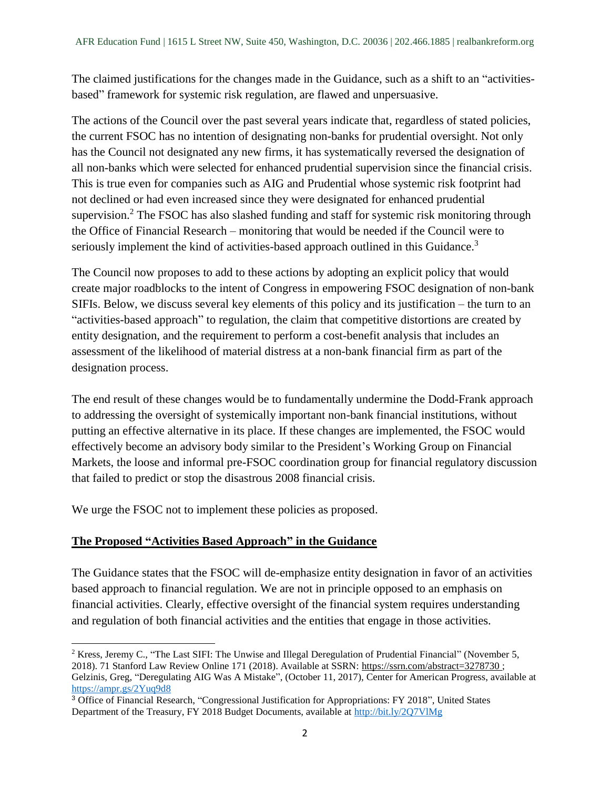The claimed justifications for the changes made in the Guidance, such as a shift to an "activitiesbased" framework for systemic risk regulation, are flawed and unpersuasive.

The actions of the Council over the past several years indicate that, regardless of stated policies, the current FSOC has no intention of designating non-banks for prudential oversight. Not only has the Council not designated any new firms, it has systematically reversed the designation of all non-banks which were selected for enhanced prudential supervision since the financial crisis. This is true even for companies such as AIG and Prudential whose systemic risk footprint had not declined or had even increased since they were designated for enhanced prudential supervision.<sup>2</sup> The FSOC has also slashed funding and staff for systemic risk monitoring through the Office of Financial Research – monitoring that would be needed if the Council were to seriously implement the kind of activities-based approach outlined in this Guidance.<sup>3</sup>

The Council now proposes to add to these actions by adopting an explicit policy that would create major roadblocks to the intent of Congress in empowering FSOC designation of non-bank SIFIs. Below, we discuss several key elements of this policy and its justification – the turn to an "activities-based approach" to regulation, the claim that competitive distortions are created by entity designation, and the requirement to perform a cost-benefit analysis that includes an assessment of the likelihood of material distress at a non-bank financial firm as part of the designation process.

The end result of these changes would be to fundamentally undermine the Dodd-Frank approach to addressing the oversight of systemically important non-bank financial institutions, without putting an effective alternative in its place. If these changes are implemented, the FSOC would effectively become an advisory body similar to the President's Working Group on Financial Markets, the loose and informal pre-FSOC coordination group for financial regulatory discussion that failed to predict or stop the disastrous 2008 financial crisis.

We urge the FSOC not to implement these policies as proposed.

## **The Proposed "Activities Based Approach" in the Guidance**

 $\overline{a}$ 

The Guidance states that the FSOC will de-emphasize entity designation in favor of an activities based approach to financial regulation. We are not in principle opposed to an emphasis on financial activities. Clearly, effective oversight of the financial system requires understanding and regulation of both financial activities and the entities that engage in those activities.

<sup>&</sup>lt;sup>2</sup> Kress, Jeremy C., "The Last SIFI: The Unwise and Illegal Deregulation of Prudential Financial" (November 5, 2018). 71 Stanford Law Review Online 171 (2018). Available at SSRN: <https://ssrn.com/abstract=3278730> ; Gelzinis, Greg, "Deregulating AIG Was A Mistake", (October 11, 2017), Center for American Progress, available at <https://ampr.gs/2Yuq9d8>

<sup>3</sup> Office of Financial Research, "Congressional Justification for Appropriations: FY 2018", United States Department of the Treasury, FY 2018 Budget Documents, available at<http://bit.ly/2Q7VlMg>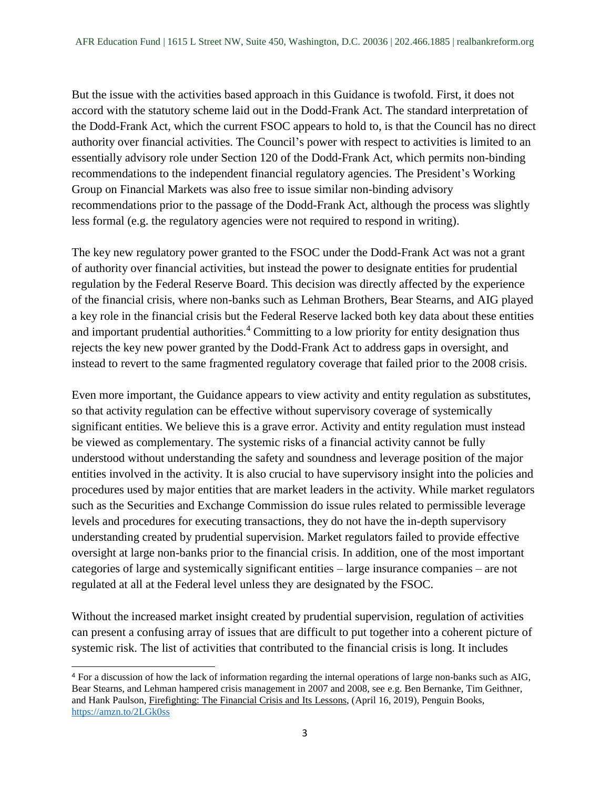But the issue with the activities based approach in this Guidance is twofold. First, it does not accord with the statutory scheme laid out in the Dodd-Frank Act. The standard interpretation of the Dodd-Frank Act, which the current FSOC appears to hold to, is that the Council has no direct authority over financial activities. The Council's power with respect to activities is limited to an essentially advisory role under Section 120 of the Dodd-Frank Act, which permits non-binding recommendations to the independent financial regulatory agencies. The President's Working Group on Financial Markets was also free to issue similar non-binding advisory recommendations prior to the passage of the Dodd-Frank Act, although the process was slightly less formal (e.g. the regulatory agencies were not required to respond in writing).

The key new regulatory power granted to the FSOC under the Dodd-Frank Act was not a grant of authority over financial activities, but instead the power to designate entities for prudential regulation by the Federal Reserve Board. This decision was directly affected by the experience of the financial crisis, where non-banks such as Lehman Brothers, Bear Stearns, and AIG played a key role in the financial crisis but the Federal Reserve lacked both key data about these entities and important prudential authorities.<sup>4</sup> Committing to a low priority for entity designation thus rejects the key new power granted by the Dodd-Frank Act to address gaps in oversight, and instead to revert to the same fragmented regulatory coverage that failed prior to the 2008 crisis.

Even more important, the Guidance appears to view activity and entity regulation as substitutes, so that activity regulation can be effective without supervisory coverage of systemically significant entities. We believe this is a grave error. Activity and entity regulation must instead be viewed as complementary. The systemic risks of a financial activity cannot be fully understood without understanding the safety and soundness and leverage position of the major entities involved in the activity. It is also crucial to have supervisory insight into the policies and procedures used by major entities that are market leaders in the activity. While market regulators such as the Securities and Exchange Commission do issue rules related to permissible leverage levels and procedures for executing transactions, they do not have the in-depth supervisory understanding created by prudential supervision. Market regulators failed to provide effective oversight at large non-banks prior to the financial crisis. In addition, one of the most important categories of large and systemically significant entities – large insurance companies – are not regulated at all at the Federal level unless they are designated by the FSOC.

Without the increased market insight created by prudential supervision, regulation of activities can present a confusing array of issues that are difficult to put together into a coherent picture of systemic risk. The list of activities that contributed to the financial crisis is long. It includes

<sup>4</sup> For a discussion of how the lack of information regarding the internal operations of large non-banks such as AIG, Bear Stearns, and Lehman hampered crisis management in 2007 and 2008, see e.g. Ben Bernanke, Tim Geithner, and Hank Paulson, Firefighting: The Financial Crisis and Its Lessons, (April 16, 2019), Penguin Books, <https://amzn.to/2LGk0ss>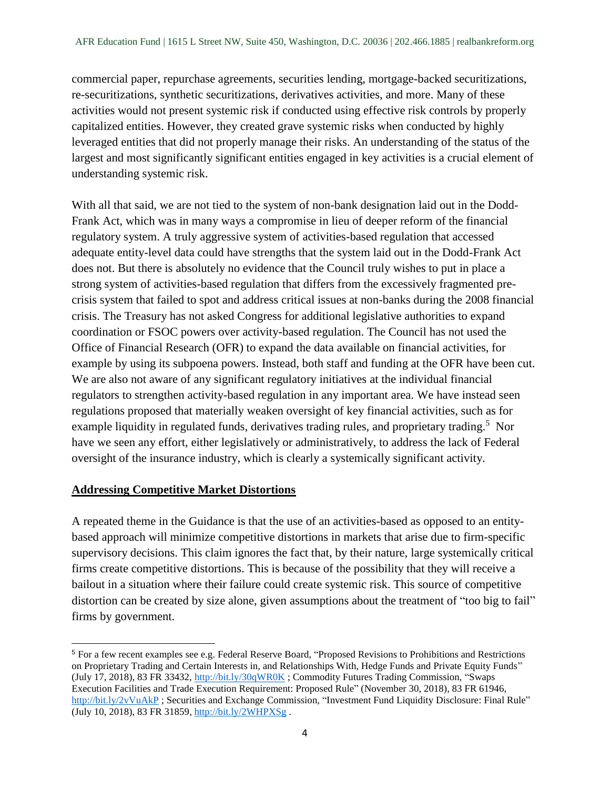commercial paper, repurchase agreements, securities lending, mortgage-backed securitizations, re-securitizations, synthetic securitizations, derivatives activities, and more. Many of these activities would not present systemic risk if conducted using effective risk controls by properly capitalized entities. However, they created grave systemic risks when conducted by highly leveraged entities that did not properly manage their risks. An understanding of the status of the largest and most significantly significant entities engaged in key activities is a crucial element of understanding systemic risk.

With all that said, we are not tied to the system of non-bank designation laid out in the Dodd-Frank Act, which was in many ways a compromise in lieu of deeper reform of the financial regulatory system. A truly aggressive system of activities-based regulation that accessed adequate entity-level data could have strengths that the system laid out in the Dodd-Frank Act does not. But there is absolutely no evidence that the Council truly wishes to put in place a strong system of activities-based regulation that differs from the excessively fragmented precrisis system that failed to spot and address critical issues at non-banks during the 2008 financial crisis. The Treasury has not asked Congress for additional legislative authorities to expand coordination or FSOC powers over activity-based regulation. The Council has not used the Office of Financial Research (OFR) to expand the data available on financial activities, for example by using its subpoena powers. Instead, both staff and funding at the OFR have been cut. We are also not aware of any significant regulatory initiatives at the individual financial regulators to strengthen activity-based regulation in any important area. We have instead seen regulations proposed that materially weaken oversight of key financial activities, such as for example liquidity in regulated funds, derivatives trading rules, and proprietary trading.<sup>5</sup> Nor have we seen any effort, either legislatively or administratively, to address the lack of Federal oversight of the insurance industry, which is clearly a systemically significant activity.

## **Addressing Competitive Market Distortions**

A repeated theme in the Guidance is that the use of an activities-based as opposed to an entitybased approach will minimize competitive distortions in markets that arise due to firm-specific supervisory decisions. This claim ignores the fact that, by their nature, large systemically critical firms create competitive distortions. This is because of the possibility that they will receive a bailout in a situation where their failure could create systemic risk. This source of competitive distortion can be created by size alone, given assumptions about the treatment of "too big to fail" firms by government.

 $\overline{a}$ <sup>5</sup> For a few recent examples see e.g. Federal Reserve Board, "Proposed Revisions to Prohibitions and Restrictions on Proprietary Trading and Certain Interests in, and Relationships With, Hedge Funds and Private Equity Funds" (July 17, 2018), 83 FR 33432, <http://bit.ly/30qWR0K> ; Commodity Futures Trading Commission, "Swaps Execution Facilities and Trade Execution Requirement: Proposed Rule" (November 30, 2018), 83 FR 61946, <http://bit.ly/2vVuAkP> ; Securities and Exchange Commission, "Investment Fund Liquidity Disclosure: Final Rule" (July 10, 2018), 83 FR 31859,<http://bit.ly/2WHPXSg> .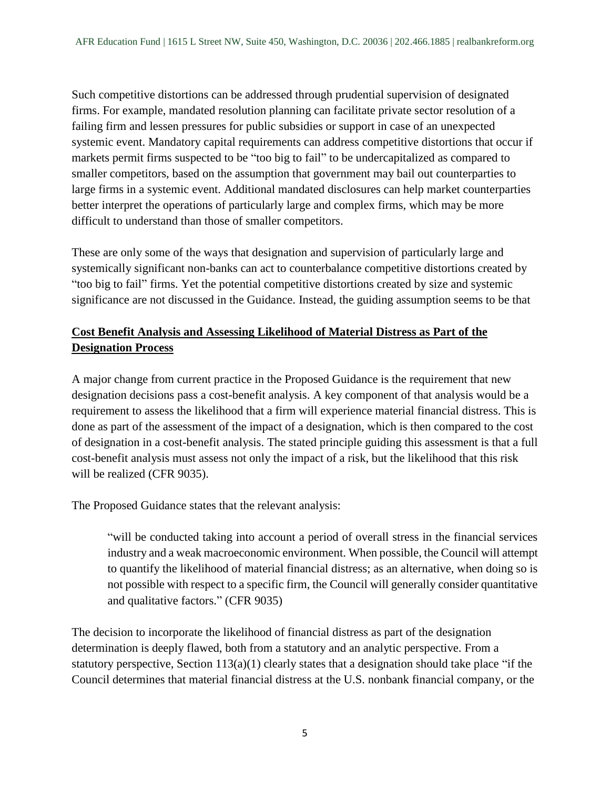Such competitive distortions can be addressed through prudential supervision of designated firms. For example, mandated resolution planning can facilitate private sector resolution of a failing firm and lessen pressures for public subsidies or support in case of an unexpected systemic event. Mandatory capital requirements can address competitive distortions that occur if markets permit firms suspected to be "too big to fail" to be undercapitalized as compared to smaller competitors, based on the assumption that government may bail out counterparties to large firms in a systemic event. Additional mandated disclosures can help market counterparties better interpret the operations of particularly large and complex firms, which may be more difficult to understand than those of smaller competitors.

These are only some of the ways that designation and supervision of particularly large and systemically significant non-banks can act to counterbalance competitive distortions created by "too big to fail" firms. Yet the potential competitive distortions created by size and systemic significance are not discussed in the Guidance. Instead, the guiding assumption seems to be that

## **Cost Benefit Analysis and Assessing Likelihood of Material Distress as Part of the Designation Process**

A major change from current practice in the Proposed Guidance is the requirement that new designation decisions pass a cost-benefit analysis. A key component of that analysis would be a requirement to assess the likelihood that a firm will experience material financial distress. This is done as part of the assessment of the impact of a designation, which is then compared to the cost of designation in a cost-benefit analysis. The stated principle guiding this assessment is that a full cost-benefit analysis must assess not only the impact of a risk, but the likelihood that this risk will be realized (CFR 9035).

The Proposed Guidance states that the relevant analysis:

"will be conducted taking into account a period of overall stress in the financial services industry and a weak macroeconomic environment. When possible, the Council will attempt to quantify the likelihood of material financial distress; as an alternative, when doing so is not possible with respect to a specific firm, the Council will generally consider quantitative and qualitative factors." (CFR 9035)

The decision to incorporate the likelihood of financial distress as part of the designation determination is deeply flawed, both from a statutory and an analytic perspective. From a statutory perspective, Section  $113(a)(1)$  clearly states that a designation should take place "if the Council determines that material financial distress at the U.S. nonbank financial company, or the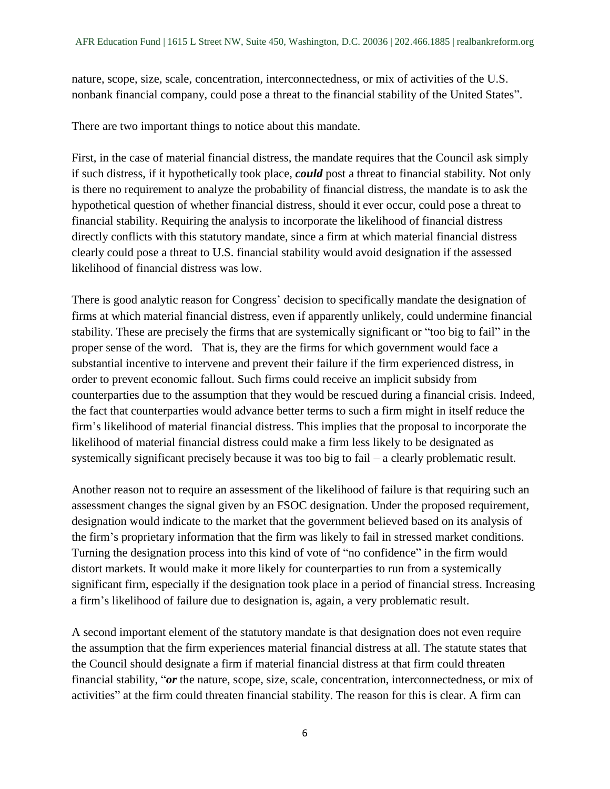nature, scope, size, scale, concentration, interconnectedness, or mix of activities of the U.S. nonbank financial company, could pose a threat to the financial stability of the United States".

There are two important things to notice about this mandate.

First, in the case of material financial distress, the mandate requires that the Council ask simply if such distress, if it hypothetically took place, *could* post a threat to financial stability. Not only is there no requirement to analyze the probability of financial distress, the mandate is to ask the hypothetical question of whether financial distress, should it ever occur, could pose a threat to financial stability. Requiring the analysis to incorporate the likelihood of financial distress directly conflicts with this statutory mandate, since a firm at which material financial distress clearly could pose a threat to U.S. financial stability would avoid designation if the assessed likelihood of financial distress was low.

There is good analytic reason for Congress' decision to specifically mandate the designation of firms at which material financial distress, even if apparently unlikely, could undermine financial stability. These are precisely the firms that are systemically significant or "too big to fail" in the proper sense of the word. That is, they are the firms for which government would face a substantial incentive to intervene and prevent their failure if the firm experienced distress, in order to prevent economic fallout. Such firms could receive an implicit subsidy from counterparties due to the assumption that they would be rescued during a financial crisis. Indeed, the fact that counterparties would advance better terms to such a firm might in itself reduce the firm's likelihood of material financial distress. This implies that the proposal to incorporate the likelihood of material financial distress could make a firm less likely to be designated as systemically significant precisely because it was too big to fail – a clearly problematic result.

Another reason not to require an assessment of the likelihood of failure is that requiring such an assessment changes the signal given by an FSOC designation. Under the proposed requirement, designation would indicate to the market that the government believed based on its analysis of the firm's proprietary information that the firm was likely to fail in stressed market conditions. Turning the designation process into this kind of vote of "no confidence" in the firm would distort markets. It would make it more likely for counterparties to run from a systemically significant firm, especially if the designation took place in a period of financial stress. Increasing a firm's likelihood of failure due to designation is, again, a very problematic result.

A second important element of the statutory mandate is that designation does not even require the assumption that the firm experiences material financial distress at all. The statute states that the Council should designate a firm if material financial distress at that firm could threaten financial stability, "*or* the nature, scope, size, scale, concentration, interconnectedness, or mix of activities" at the firm could threaten financial stability. The reason for this is clear. A firm can